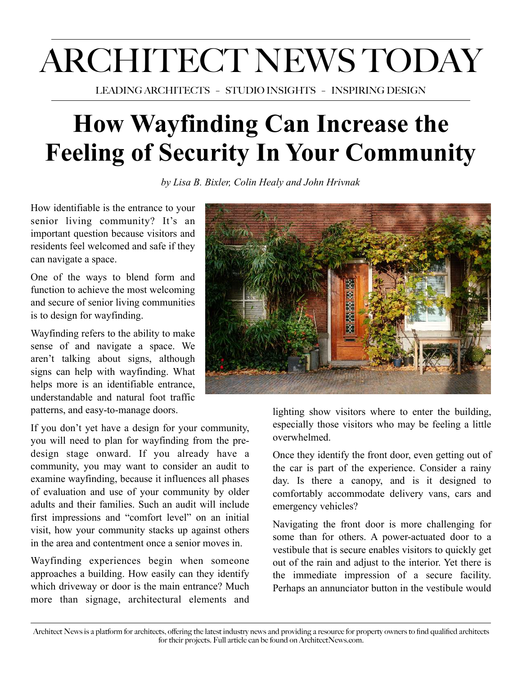## ARCHITECT NEWS TODAY

LEADING ARCHITECTS – STUDIO INSIGHTS – INSPIRING DESIGN

## **How Wayfinding Can Increase the Feeling of Security In Your Community**

*by Lisa B. Bixler, Colin Healy and John Hrivnak*

How identifiable is the entrance to your senior living community? It's an important question because visitors and residents feel welcomed and safe if they can navigate a space.

One of the ways to blend form and function to achieve the most welcoming and secure of senior living communities is to design for wayfinding.

Wayfinding refers to the ability to make sense of and navigate a space. We aren't talking about signs, although signs can help with wayfinding. What helps more is an identifiable entrance, understandable and natural foot traffic patterns, and easy-to-manage doors.

If you don't yet have a design for your community, you will need to plan for wayfinding from the predesign stage onward. If you already have a community, you may want to consider an audit to examine wayfinding, because it influences all phases of evaluation and use of your community by older adults and their families. Such an audit will include first impressions and "comfort level" on an initial visit, how your community stacks up against others in the area and contentment once a senior moves in.

Wayfinding experiences begin when someone approaches a building. How easily can they identify which driveway or door is the main entrance? Much more than signage, architectural elements and



lighting show visitors where to enter the building, especially those visitors who may be feeling a little overwhelmed.

Once they identify the front door, even getting out of the car is part of the experience. Consider a rainy day. Is there a canopy, and is it designed to comfortably accommodate delivery vans, cars and emergency vehicles?

Navigating the front door is more challenging for some than for others. A power-actuated door to a vestibule that is secure enables visitors to quickly get out of the rain and adjust to the interior. Yet there is the immediate impression of a secure facility. Perhaps an annunciator button in the vestibule would

Architect News is a platform for architects, offering the latest industry news and providing a resource for property owners to find qualified architects for their projects. Full article can be found on ArchitectNews.com.